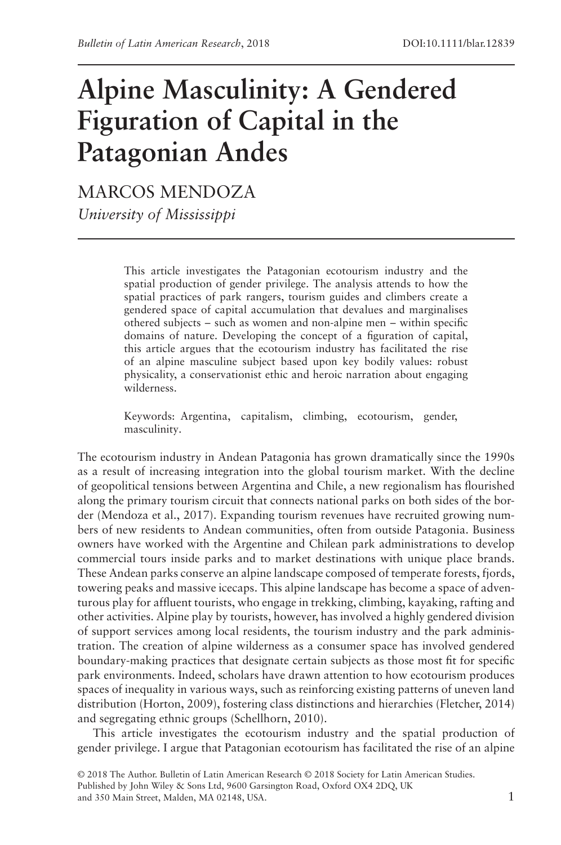# **Alpine Masculinity: A Gendered Figuration of Capital in the Patagonian Andes**

MARCOS MENDOZA *University of Mississippi*

> This article investigates the Patagonian ecotourism industry and the spatial production of gender privilege. The analysis attends to how the spatial practices of park rangers, tourism guides and climbers create a gendered space of capital accumulation that devalues and marginalises othered subjects – such as women and non-alpine men – within specifc domains of nature. Developing the concept of a fguration of capital, this article argues that the ecotourism industry has facilitated the rise of an alpine masculine subject based upon key bodily values: robust physicality, a conservationist ethic and heroic narration about engaging wilderness.

Keywords: Argentina, capitalism, climbing, ecotourism, gender, masculinity.

The ecotourism industry in Andean Patagonia has grown dramatically since the 1990s as a result of increasing integration into the global tourism market. With the decline of geopolitical tensions between Argentina and Chile, a new regionalism has fourished along the primary tourism circuit that connects national parks on both sides of the border (Mendoza et al., 2017). Expanding tourism revenues have recruited growing numbers of new residents to Andean communities, often from outside Patagonia. Business owners have worked with the Argentine and Chilean park administrations to develop commercial tours inside parks and to market destinations with unique place brands. These Andean parks conserve an alpine landscape composed of temperate forests, fjords, towering peaks and massive icecaps. This alpine landscape has become a space of adventurous play for affuent tourists, who engage in trekking, climbing, kayaking, rafting and other activities. Alpine play by tourists, however, has involved a highly gendered division of support services among local residents, the tourism industry and the park administration. The creation of alpine wilderness as a consumer space has involved gendered boundary-making practices that designate certain subjects as those most ft for specifc park environments. Indeed, scholars have drawn attention to how ecotourism produces spaces of inequality in various ways, such as reinforcing existing patterns of uneven land distribution (Horton, 2009), fostering class distinctions and hierarchies (Fletcher, 2014) and segregating ethnic groups (Schellhorn, 2010).

This article investigates the ecotourism industry and the spatial production of gender privilege. I argue that Patagonian ecotourism has facilitated the rise of an alpine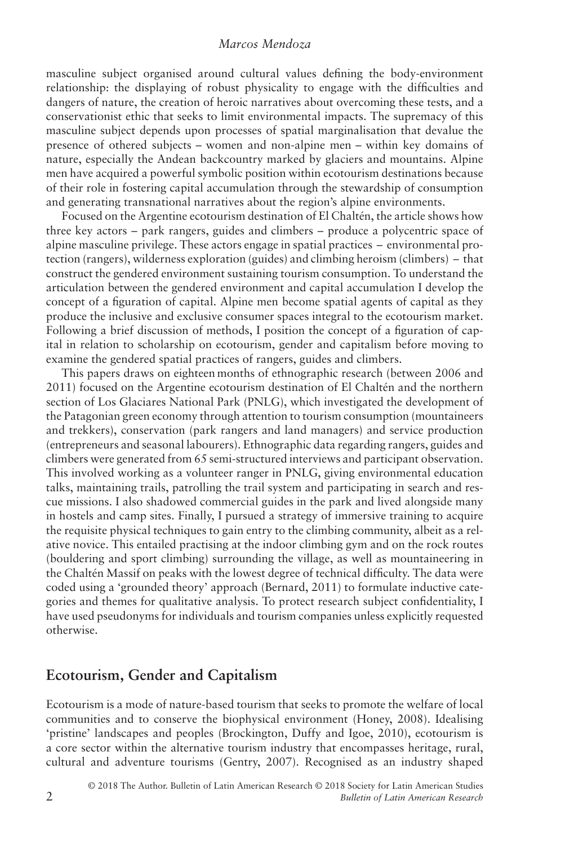masculine subject organised around cultural values defning the body-environment relationship: the displaying of robust physicality to engage with the diffculties and dangers of nature, the creation of heroic narratives about overcoming these tests, and a conservationist ethic that seeks to limit environmental impacts. The supremacy of this masculine subject depends upon processes of spatial marginalisation that devalue the presence of othered subjects – women and non-alpine men – within key domains of nature, especially the Andean backcountry marked by glaciers and mountains. Alpine men have acquired a powerful symbolic position within ecotourism destinations because of their role in fostering capital accumulation through the stewardship of consumption and generating transnational narratives about the region's alpine environments.

Focused on the Argentine ecotourism destination of El Chaltén, the article shows how three key actors – park rangers, guides and climbers – produce a polycentric space of alpine masculine privilege. These actors engage in spatial practices – environmental protection (rangers), wilderness exploration (guides) and climbing heroism (climbers) – that construct the gendered environment sustaining tourism consumption. To understand the articulation between the gendered environment and capital accumulation I develop the concept of a fguration of capital. Alpine men become spatial agents of capital as they produce the inclusive and exclusive consumer spaces integral to the ecotourism market. Following a brief discussion of methods, I position the concept of a fguration of capital in relation to scholarship on ecotourism, gender and capitalism before moving to examine the gendered spatial practices of rangers, guides and climbers.

This papers draws on eighteen months of ethnographic research (between 2006 and 2011) focused on the Argentine ecotourism destination of El Chaltén and the northern section of Los Glaciares National Park (PNLG), which investigated the development of the Patagonian green economy through attention to tourism consumption (mountaineers and trekkers), conservation (park rangers and land managers) and service production (entrepreneurs and seasonal labourers). Ethnographic data regarding rangers, guides and climbers were generated from 65 semi-structured interviews and participant observation. This involved working as a volunteer ranger in PNLG, giving environmental education talks, maintaining trails, patrolling the trail system and participating in search and rescue missions. I also shadowed commercial guides in the park and lived alongside many in hostels and camp sites. Finally, I pursued a strategy of immersive training to acquire the requisite physical techniques to gain entry to the climbing community, albeit as a relative novice. This entailed practising at the indoor climbing gym and on the rock routes (bouldering and sport climbing) surrounding the village, as well as mountaineering in the Chaltén Massif on peaks with the lowest degree of technical diffculty. The data were coded using a 'grounded theory' approach (Bernard, 2011) to formulate inductive categories and themes for qualitative analysis. To protect research subject confdentiality, I have used pseudonyms for individuals and tourism companies unless explicitly requested otherwise.

## **Ecotourism, Gender and Capitalism**

Ecotourism is a mode of nature-based tourism that seeks to promote the welfare of local communities and to conserve the biophysical environment (Honey, 2008). Idealising 'pristine' landscapes and peoples (Brockington, Duffy and Igoe, 2010), ecotourism is a core sector within the alternative tourism industry that encompasses heritage, rural, cultural and adventure tourisms (Gentry, 2007). Recognised as an industry shaped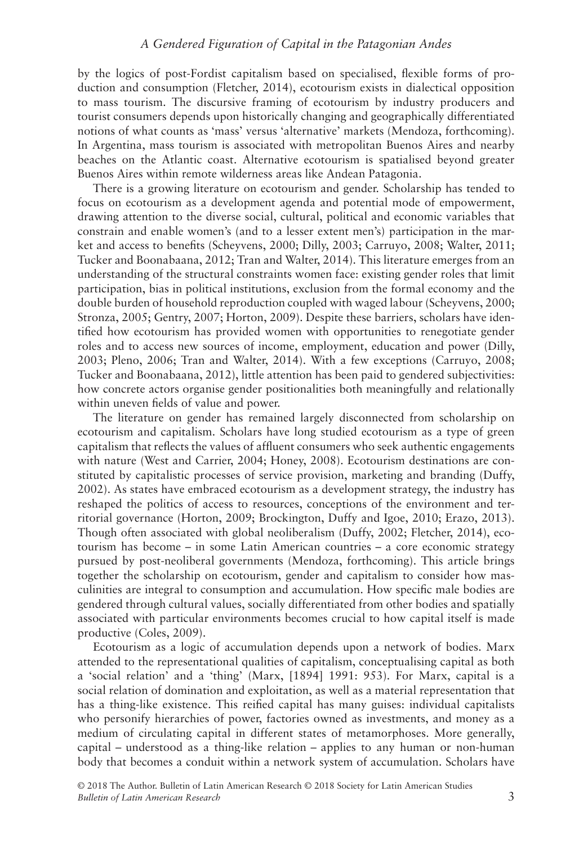by the logics of post-Fordist capitalism based on specialised, fexible forms of production and consumption (Fletcher, 2014), ecotourism exists in dialectical opposition to mass tourism. The discursive framing of ecotourism by industry producers and tourist consumers depends upon historically changing and geographically differentiated notions of what counts as 'mass' versus 'alternative' markets (Mendoza, forthcoming). In Argentina, mass tourism is associated with metropolitan Buenos Aires and nearby beaches on the Atlantic coast. Alternative ecotourism is spatialised beyond greater Buenos Aires within remote wilderness areas like Andean Patagonia.

There is a growing literature on ecotourism and gender. Scholarship has tended to focus on ecotourism as a development agenda and potential mode of empowerment, drawing attention to the diverse social, cultural, political and economic variables that constrain and enable women's (and to a lesser extent men's) participation in the market and access to benefts (Scheyvens, 2000; Dilly, 2003; Carruyo, 2008; Walter, 2011; Tucker and Boonabaana, 2012; Tran and Walter, 2014). This literature emerges from an understanding of the structural constraints women face: existing gender roles that limit participation, bias in political institutions, exclusion from the formal economy and the double burden of household reproduction coupled with waged labour (Scheyvens, 2000; Stronza, 2005; Gentry, 2007; Horton, 2009). Despite these barriers, scholars have identifed how ecotourism has provided women with opportunities to renegotiate gender roles and to access new sources of income, employment, education and power (Dilly, 2003; Pleno, 2006; Tran and Walter, 2014). With a few exceptions (Carruyo, 2008; Tucker and Boonabaana, 2012), little attention has been paid to gendered subjectivities: how concrete actors organise gender positionalities both meaningfully and relationally within uneven felds of value and power.

The literature on gender has remained largely disconnected from scholarship on ecotourism and capitalism. Scholars have long studied ecotourism as a type of green capitalism that refects the values of affuent consumers who seek authentic engagements with nature (West and Carrier, 2004; Honey, 2008). Ecotourism destinations are constituted by capitalistic processes of service provision, marketing and branding (Duffy, 2002). As states have embraced ecotourism as a development strategy, the industry has reshaped the politics of access to resources, conceptions of the environment and territorial governance (Horton, 2009; Brockington, Duffy and Igoe, 2010; Erazo, 2013). Though often associated with global neoliberalism (Duffy, 2002; Fletcher, 2014), ecotourism has become – in some Latin American countries – a core economic strategy pursued by post-neoliberal governments (Mendoza, forthcoming). This article brings together the scholarship on ecotourism, gender and capitalism to consider how masculinities are integral to consumption and accumulation. How specifc male bodies are gendered through cultural values, socially differentiated from other bodies and spatially associated with particular environments becomes crucial to how capital itself is made productive (Coles, 2009).

Ecotourism as a logic of accumulation depends upon a network of bodies. Marx attended to the representational qualities of capitalism, conceptualising capital as both a 'social relation' and a 'thing' (Marx, [1894] 1991: 953). For Marx, capital is a social relation of domination and exploitation, as well as a material representation that has a thing-like existence. This reifed capital has many guises: individual capitalists who personify hierarchies of power, factories owned as investments, and money as a medium of circulating capital in different states of metamorphoses. More generally, capital – understood as a thing-like relation – applies to any human or non-human body that becomes a conduit within a network system of accumulation. Scholars have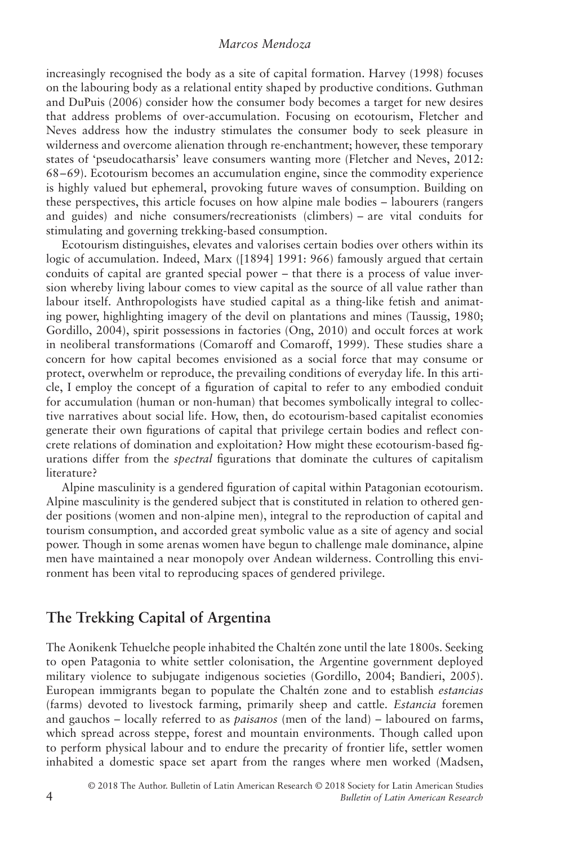increasingly recognised the body as a site of capital formation. Harvey (1998) focuses on the labouring body as a relational entity shaped by productive conditions. Guthman and DuPuis (2006) consider how the consumer body becomes a target for new desires that address problems of over-accumulation. Focusing on ecotourism, Fletcher and Neves address how the industry stimulates the consumer body to seek pleasure in wilderness and overcome alienation through re-enchantment; however, these temporary states of 'pseudocatharsis' leave consumers wanting more (Fletcher and Neves, 2012: 68–69). Ecotourism becomes an accumulation engine, since the commodity experience is highly valued but ephemeral, provoking future waves of consumption. Building on these perspectives, this article focuses on how alpine male bodies – labourers (rangers and guides) and niche consumers/recreationists (climbers) – are vital conduits for stimulating and governing trekking-based consumption.

Ecotourism distinguishes, elevates and valorises certain bodies over others within its logic of accumulation. Indeed, Marx ([1894] 1991: 966) famously argued that certain conduits of capital are granted special power – that there is a process of value inversion whereby living labour comes to view capital as the source of all value rather than labour itself. Anthropologists have studied capital as a thing-like fetish and animating power, highlighting imagery of the devil on plantations and mines (Taussig, 1980; Gordillo, 2004), spirit possessions in factories (Ong, 2010) and occult forces at work in neoliberal transformations (Comaroff and Comaroff, 1999). These studies share a concern for how capital becomes envisioned as a social force that may consume or protect, overwhelm or reproduce, the prevailing conditions of everyday life. In this article, I employ the concept of a fguration of capital to refer to any embodied conduit for accumulation (human or non-human) that becomes symbolically integral to collective narratives about social life. How, then, do ecotourism-based capitalist economies generate their own fgurations of capital that privilege certain bodies and refect concrete relations of domination and exploitation? How might these ecotourism-based fgurations differ from the *spectral* fgurations that dominate the cultures of capitalism literature?

Alpine masculinity is a gendered fguration of capital within Patagonian ecotourism. Alpine masculinity is the gendered subject that is constituted in relation to othered gender positions (women and non-alpine men), integral to the reproduction of capital and tourism consumption, and accorded great symbolic value as a site of agency and social power. Though in some arenas women have begun to challenge male dominance, alpine men have maintained a near monopoly over Andean wilderness. Controlling this environment has been vital to reproducing spaces of gendered privilege.

# **The Trekking Capital of Argentina**

The Aonikenk Tehuelche people inhabited the Chaltén zone until the late 1800s. Seeking to open Patagonia to white settler colonisation, the Argentine government deployed military violence to subjugate indigenous societies (Gordillo, 2004; Bandieri, 2005). European immigrants began to populate the Chaltén zone and to establish *estancias* (farms) devoted to livestock farming, primarily sheep and cattle. *Estancia* foremen and gauchos – locally referred to as *paisanos* (men of the land) – laboured on farms, which spread across steppe, forest and mountain environments. Though called upon to perform physical labour and to endure the precarity of frontier life, settler women inhabited a domestic space set apart from the ranges where men worked (Madsen,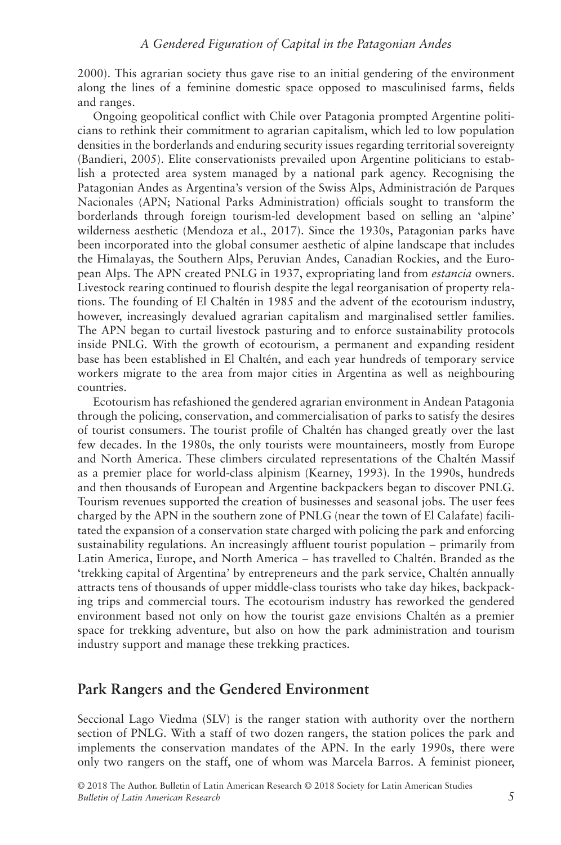2000). This agrarian society thus gave rise to an initial gendering of the environment along the lines of a feminine domestic space opposed to masculinised farms, felds and ranges.

Ongoing geopolitical confict with Chile over Patagonia prompted Argentine politicians to rethink their commitment to agrarian capitalism, which led to low population densities in the borderlands and enduring security issues regarding territorial sovereignty (Bandieri, 2005). Elite conservationists prevailed upon Argentine politicians to establish a protected area system managed by a national park agency. Recognising the Patagonian Andes as Argentina's version of the Swiss Alps, Administración de Parques Nacionales (APN; National Parks Administration) offcials sought to transform the borderlands through foreign tourism-led development based on selling an 'alpine' wilderness aesthetic (Mendoza et al., 2017). Since the 1930s, Patagonian parks have been incorporated into the global consumer aesthetic of alpine landscape that includes the Himalayas, the Southern Alps, Peruvian Andes, Canadian Rockies, and the European Alps. The APN created PNLG in 1937, expropriating land from *estancia* owners. Livestock rearing continued to fourish despite the legal reorganisation of property relations. The founding of El Chaltén in 1985 and the advent of the ecotourism industry, however, increasingly devalued agrarian capitalism and marginalised settler families. The APN began to curtail livestock pasturing and to enforce sustainability protocols inside PNLG. With the growth of ecotourism, a permanent and expanding resident base has been established in El Chaltén, and each year hundreds of temporary service workers migrate to the area from major cities in Argentina as well as neighbouring countries.

Ecotourism has refashioned the gendered agrarian environment in Andean Patagonia through the policing, conservation, and commercialisation of parks to satisfy the desires of tourist consumers. The tourist profle of Chaltén has changed greatly over the last few decades. In the 1980s, the only tourists were mountaineers, mostly from Europe and North America. These climbers circulated representations of the Chaltén Massif as a premier place for world-class alpinism (Kearney, 1993). In the 1990s, hundreds and then thousands of European and Argentine backpackers began to discover PNLG. Tourism revenues supported the creation of businesses and seasonal jobs. The user fees charged by the APN in the southern zone of PNLG (near the town of El Calafate) facilitated the expansion of a conservation state charged with policing the park and enforcing sustainability regulations. An increasingly affuent tourist population – primarily from Latin America, Europe, and North America – has travelled to Chaltén. Branded as the 'trekking capital of Argentina' by entrepreneurs and the park service, Chaltén annually attracts tens of thousands of upper middle-class tourists who take day hikes, backpacking trips and commercial tours. The ecotourism industry has reworked the gendered environment based not only on how the tourist gaze envisions Chaltén as a premier space for trekking adventure, but also on how the park administration and tourism industry support and manage these trekking practices.

## **Park Rangers and the Gendered Environment**

Seccional Lago Viedma (SLV) is the ranger station with authority over the northern section of PNLG. With a staff of two dozen rangers, the station polices the park and implements the conservation mandates of the APN. In the early 1990s, there were only two rangers on the staff, one of whom was Marcela Barros. A feminist pioneer,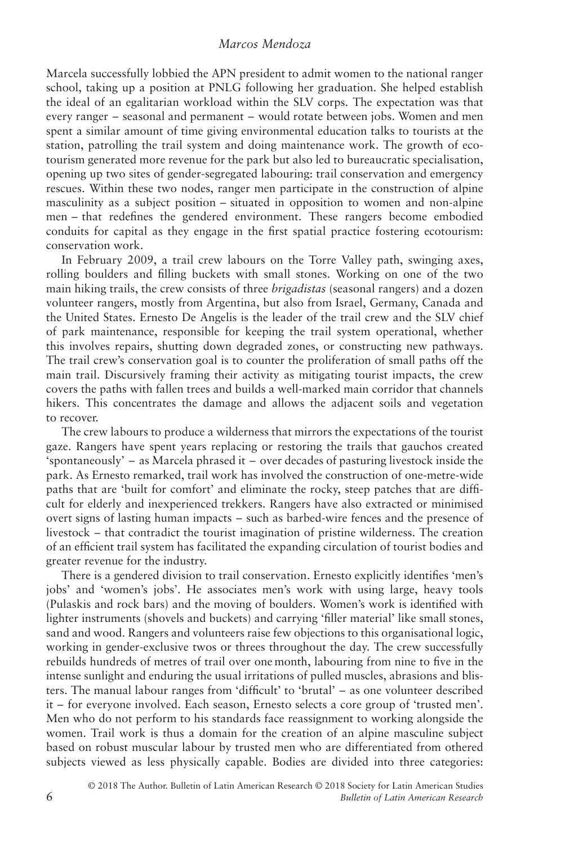Marcela successfully lobbied the APN president to admit women to the national ranger school, taking up a position at PNLG following her graduation. She helped establish the ideal of an egalitarian workload within the SLV corps. The expectation was that every ranger – seasonal and permanent – would rotate between jobs. Women and men spent a similar amount of time giving environmental education talks to tourists at the station, patrolling the trail system and doing maintenance work. The growth of ecotourism generated more revenue for the park but also led to bureaucratic specialisation, opening up two sites of gender-segregated labouring: trail conservation and emergency rescues. Within these two nodes, ranger men participate in the construction of alpine masculinity as a subject position – situated in opposition to women and non-alpine men – that redefnes the gendered environment. These rangers become embodied conduits for capital as they engage in the frst spatial practice fostering ecotourism: conservation work.

In February 2009, a trail crew labours on the Torre Valley path, swinging axes, rolling boulders and flling buckets with small stones. Working on one of the two main hiking trails, the crew consists of three *brigadistas* (seasonal rangers) and a dozen volunteer rangers, mostly from Argentina, but also from Israel, Germany, Canada and the United States. Ernesto De Angelis is the leader of the trail crew and the SLV chief of park maintenance, responsible for keeping the trail system operational, whether this involves repairs, shutting down degraded zones, or constructing new pathways. The trail crew's conservation goal is to counter the proliferation of small paths off the main trail. Discursively framing their activity as mitigating tourist impacts, the crew covers the paths with fallen trees and builds a well-marked main corridor that channels hikers. This concentrates the damage and allows the adjacent soils and vegetation to recover.

The crew labours to produce a wilderness that mirrors the expectations of the tourist gaze. Rangers have spent years replacing or restoring the trails that gauchos created 'spontaneously' – as Marcela phrased it – over decades of pasturing livestock inside the park. As Ernesto remarked, trail work has involved the construction of one-metre-wide paths that are 'built for comfort' and eliminate the rocky, steep patches that are diffcult for elderly and inexperienced trekkers. Rangers have also extracted or minimised overt signs of lasting human impacts – such as barbed-wire fences and the presence of livestock – that contradict the tourist imagination of pristine wilderness. The creation of an effcient trail system has facilitated the expanding circulation of tourist bodies and greater revenue for the industry.

There is a gendered division to trail conservation. Ernesto explicitly identifes 'men's jobs' and 'women's jobs'. He associates men's work with using large, heavy tools (Pulaskis and rock bars) and the moving of boulders. Women's work is identifed with lighter instruments (shovels and buckets) and carrying 'fller material' like small stones, sand and wood. Rangers and volunteers raise few objections to this organisational logic, working in gender-exclusive twos or threes throughout the day. The crew successfully rebuilds hundreds of metres of trail over one month, labouring from nine to fve in the intense sunlight and enduring the usual irritations of pulled muscles, abrasions and blisters. The manual labour ranges from 'diffcult' to 'brutal' – as one volunteer described it – for everyone involved. Each season, Ernesto selects a core group of 'trusted men'. Men who do not perform to his standards face reassignment to working alongside the women. Trail work is thus a domain for the creation of an alpine masculine subject based on robust muscular labour by trusted men who are differentiated from othered subjects viewed as less physically capable. Bodies are divided into three categories: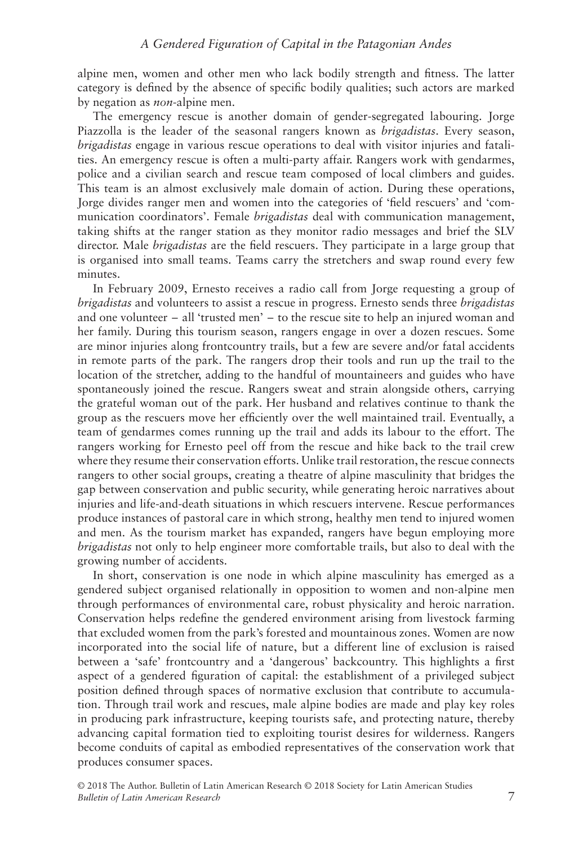alpine men, women and other men who lack bodily strength and ftness. The latter category is defned by the absence of specifc bodily qualities; such actors are marked by negation as *non*-alpine men.

The emergency rescue is another domain of gender-segregated labouring. Jorge Piazzolla is the leader of the seasonal rangers known as *brigadistas*. Every season, *brigadistas* engage in various rescue operations to deal with visitor injuries and fatalities. An emergency rescue is often a multi-party affair. Rangers work with gendarmes, police and a civilian search and rescue team composed of local climbers and guides. This team is an almost exclusively male domain of action. During these operations, Jorge divides ranger men and women into the categories of 'feld rescuers' and 'communication coordinators'. Female *brigadistas* deal with communication management, taking shifts at the ranger station as they monitor radio messages and brief the SLV director. Male *brigadistas* are the feld rescuers. They participate in a large group that is organised into small teams. Teams carry the stretchers and swap round every few minutes.

In February 2009, Ernesto receives a radio call from Jorge requesting a group of *brigadistas* and volunteers to assist a rescue in progress. Ernesto sends three *brigadistas* and one volunteer – all 'trusted men' – to the rescue site to help an injured woman and her family. During this tourism season, rangers engage in over a dozen rescues. Some are minor injuries along frontcountry trails, but a few are severe and/or fatal accidents in remote parts of the park. The rangers drop their tools and run up the trail to the location of the stretcher, adding to the handful of mountaineers and guides who have spontaneously joined the rescue. Rangers sweat and strain alongside others, carrying the grateful woman out of the park. Her husband and relatives continue to thank the group as the rescuers move her effciently over the well maintained trail. Eventually, a team of gendarmes comes running up the trail and adds its labour to the effort. The rangers working for Ernesto peel off from the rescue and hike back to the trail crew where they resume their conservation efforts. Unlike trail restoration, the rescue connects rangers to other social groups, creating a theatre of alpine masculinity that bridges the gap between conservation and public security, while generating heroic narratives about injuries and life-and-death situations in which rescuers intervene. Rescue performances produce instances of pastoral care in which strong, healthy men tend to injured women and men. As the tourism market has expanded, rangers have begun employing more *brigadistas* not only to help engineer more comfortable trails, but also to deal with the growing number of accidents.

In short, conservation is one node in which alpine masculinity has emerged as a gendered subject organised relationally in opposition to women and non-alpine men through performances of environmental care, robust physicality and heroic narration. Conservation helps redefne the gendered environment arising from livestock farming that excluded women from the park's forested and mountainous zones. Women are now incorporated into the social life of nature, but a different line of exclusion is raised between a 'safe' frontcountry and a 'dangerous' backcountry. This highlights a frst aspect of a gendered fguration of capital: the establishment of a privileged subject position defned through spaces of normative exclusion that contribute to accumulation. Through trail work and rescues, male alpine bodies are made and play key roles in producing park infrastructure, keeping tourists safe, and protecting nature, thereby advancing capital formation tied to exploiting tourist desires for wilderness. Rangers become conduits of capital as embodied representatives of the conservation work that produces consumer spaces.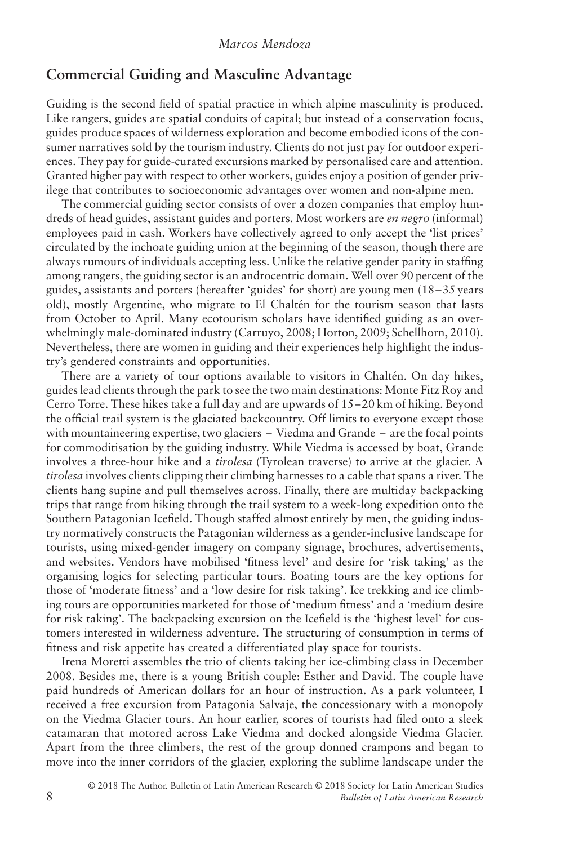# **Commercial Guiding and Masculine Advantage**

Guiding is the second feld of spatial practice in which alpine masculinity is produced. Like rangers, guides are spatial conduits of capital; but instead of a conservation focus, guides produce spaces of wilderness exploration and become embodied icons of the consumer narratives sold by the tourism industry. Clients do not just pay for outdoor experiences. They pay for guide-curated excursions marked by personalised care and attention. Granted higher pay with respect to other workers, guides enjoy a position of gender privilege that contributes to socioeconomic advantages over women and non-alpine men.

The commercial guiding sector consists of over a dozen companies that employ hundreds of head guides, assistant guides and porters. Most workers are *en negro* (informal) employees paid in cash. Workers have collectively agreed to only accept the 'list prices' circulated by the inchoate guiding union at the beginning of the season, though there are always rumours of individuals accepting less. Unlike the relative gender parity in staffng among rangers, the guiding sector is an androcentric domain. Well over 90 percent of the guides, assistants and porters (hereafter 'guides' for short) are young men (18–35 years old), mostly Argentine, who migrate to El Chaltén for the tourism season that lasts from October to April. Many ecotourism scholars have identifed guiding as an overwhelmingly male-dominated industry (Carruyo, 2008; Horton, 2009; Schellhorn, 2010). Nevertheless, there are women in guiding and their experiences help highlight the industry's gendered constraints and opportunities.

There are a variety of tour options available to visitors in Chaltén. On day hikes, guides lead clients through the park to see the two main destinations: Monte Fitz Roy and Cerro Torre. These hikes take a full day and are upwards of 15–20 km of hiking. Beyond the official trail system is the glaciated backcountry. Off limits to everyone except those with mountaineering expertise, two glaciers – Viedma and Grande – are the focal points for commoditisation by the guiding industry. While Viedma is accessed by boat, Grande involves a three-hour hike and a *tirolesa* (Tyrolean traverse) to arrive at the glacier. A *tirolesa* involves clients clipping their climbing harnesses to a cable that spans a river. The clients hang supine and pull themselves across. Finally, there are multiday backpacking trips that range from hiking through the trail system to a week-long expedition onto the Southern Patagonian Icefeld. Though staffed almost entirely by men, the guiding industry normatively constructs the Patagonian wilderness as a gender-inclusive landscape for tourists, using mixed-gender imagery on company signage, brochures, advertisements, and websites. Vendors have mobilised 'ftness level' and desire for 'risk taking' as the organising logics for selecting particular tours. Boating tours are the key options for those of 'moderate ftness' and a 'low desire for risk taking'. Ice trekking and ice climbing tours are opportunities marketed for those of 'medium ftness' and a 'medium desire for risk taking'. The backpacking excursion on the Icefeld is the 'highest level' for customers interested in wilderness adventure. The structuring of consumption in terms of ftness and risk appetite has created a differentiated play space for tourists.

Irena Moretti assembles the trio of clients taking her ice-climbing class in December 2008. Besides me, there is a young British couple: Esther and David. The couple have paid hundreds of American dollars for an hour of instruction. As a park volunteer, I received a free excursion from Patagonia Salvaje, the concessionary with a monopoly on the Viedma Glacier tours. An hour earlier, scores of tourists had fled onto a sleek catamaran that motored across Lake Viedma and docked alongside Viedma Glacier. Apart from the three climbers, the rest of the group donned crampons and began to move into the inner corridors of the glacier, exploring the sublime landscape under the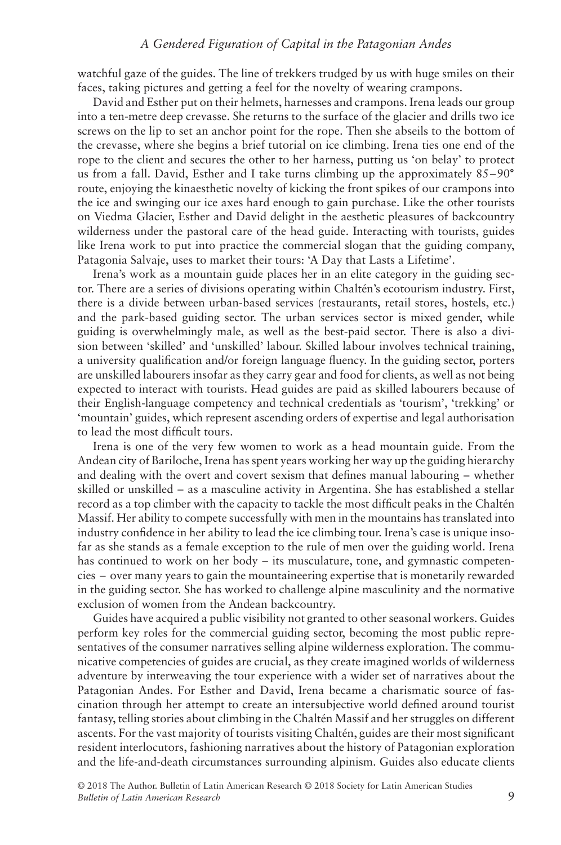#### *A Gendered Figuration of Capital in the Patagonian Andes*

watchful gaze of the guides. The line of trekkers trudged by us with huge smiles on their faces, taking pictures and getting a feel for the novelty of wearing crampons.

David and Esther put on their helmets, harnesses and crampons. Irena leads our group into a ten-metre deep crevasse. She returns to the surface of the glacier and drills two ice screws on the lip to set an anchor point for the rope. Then she abseils to the bottom of the crevasse, where she begins a brief tutorial on ice climbing. Irena ties one end of the rope to the client and secures the other to her harness, putting us 'on belay' to protect us from a fall. David, Esther and I take turns climbing up the approximately 85–90∘ route, enjoying the kinaesthetic novelty of kicking the front spikes of our crampons into the ice and swinging our ice axes hard enough to gain purchase. Like the other tourists on Viedma Glacier, Esther and David delight in the aesthetic pleasures of backcountry wilderness under the pastoral care of the head guide. Interacting with tourists, guides like Irena work to put into practice the commercial slogan that the guiding company, Patagonia Salvaje, uses to market their tours: 'A Day that Lasts a Lifetime'.

Irena's work as a mountain guide places her in an elite category in the guiding sector. There are a series of divisions operating within Chaltén's ecotourism industry. First, there is a divide between urban-based services (restaurants, retail stores, hostels, etc.) and the park-based guiding sector. The urban services sector is mixed gender, while guiding is overwhelmingly male, as well as the best-paid sector. There is also a division between 'skilled' and 'unskilled' labour. Skilled labour involves technical training, a university qualifcation and/or foreign language fuency. In the guiding sector, porters are unskilled labourers insofar as they carry gear and food for clients, as well as not being expected to interact with tourists. Head guides are paid as skilled labourers because of their English-language competency and technical credentials as 'tourism', 'trekking' or 'mountain' guides, which represent ascending orders of expertise and legal authorisation to lead the most diffcult tours.

Irena is one of the very few women to work as a head mountain guide. From the Andean city of Bariloche, Irena has spent years working her way up the guiding hierarchy and dealing with the overt and covert sexism that defnes manual labouring – whether skilled or unskilled – as a masculine activity in Argentina. She has established a stellar record as a top climber with the capacity to tackle the most diffcult peaks in the Chaltén Massif. Her ability to compete successfully with men in the mountains has translated into industry confdence in her ability to lead the ice climbing tour. Irena's case is unique insofar as she stands as a female exception to the rule of men over the guiding world. Irena has continued to work on her body – its musculature, tone, and gymnastic competencies – over many years to gain the mountaineering expertise that is monetarily rewarded in the guiding sector. She has worked to challenge alpine masculinity and the normative exclusion of women from the Andean backcountry.

Guides have acquired a public visibility not granted to other seasonal workers. Guides perform key roles for the commercial guiding sector, becoming the most public representatives of the consumer narratives selling alpine wilderness exploration. The communicative competencies of guides are crucial, as they create imagined worlds of wilderness adventure by interweaving the tour experience with a wider set of narratives about the Patagonian Andes. For Esther and David, Irena became a charismatic source of fascination through her attempt to create an intersubjective world defned around tourist fantasy, telling stories about climbing in the Chaltén Massif and her struggles on different ascents. For the vast majority of tourists visiting Chaltén, guides are their most signifcant resident interlocutors, fashioning narratives about the history of Patagonian exploration and the life-and-death circumstances surrounding alpinism. Guides also educate clients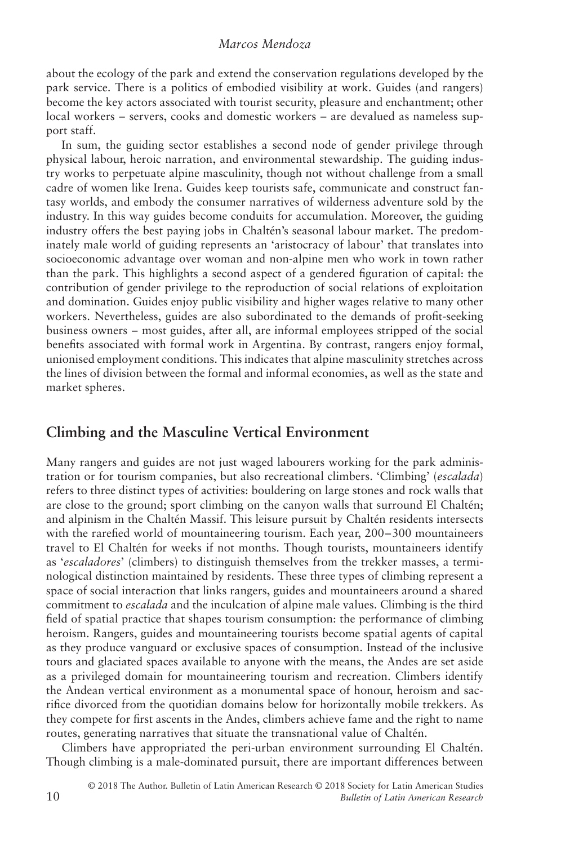about the ecology of the park and extend the conservation regulations developed by the park service. There is a politics of embodied visibility at work. Guides (and rangers) become the key actors associated with tourist security, pleasure and enchantment; other local workers – servers, cooks and domestic workers – are devalued as nameless support staff.

In sum, the guiding sector establishes a second node of gender privilege through physical labour, heroic narration, and environmental stewardship. The guiding industry works to perpetuate alpine masculinity, though not without challenge from a small cadre of women like Irena. Guides keep tourists safe, communicate and construct fantasy worlds, and embody the consumer narratives of wilderness adventure sold by the industry. In this way guides become conduits for accumulation. Moreover, the guiding industry offers the best paying jobs in Chaltén's seasonal labour market. The predominately male world of guiding represents an 'aristocracy of labour' that translates into socioeconomic advantage over woman and non-alpine men who work in town rather than the park. This highlights a second aspect of a gendered fguration of capital: the contribution of gender privilege to the reproduction of social relations of exploitation and domination. Guides enjoy public visibility and higher wages relative to many other workers. Nevertheless, guides are also subordinated to the demands of proft-seeking business owners – most guides, after all, are informal employees stripped of the social benefts associated with formal work in Argentina. By contrast, rangers enjoy formal, unionised employment conditions. This indicates that alpine masculinity stretches across the lines of division between the formal and informal economies, as well as the state and market spheres.

## **Climbing and the Masculine Vertical Environment**

Many rangers and guides are not just waged labourers working for the park administration or for tourism companies, but also recreational climbers. 'Climbing' (*escalada*) refers to three distinct types of activities: bouldering on large stones and rock walls that are close to the ground; sport climbing on the canyon walls that surround El Chaltén; and alpinism in the Chaltén Massif. This leisure pursuit by Chaltén residents intersects with the rarefed world of mountaineering tourism. Each year, 200–300 mountaineers travel to El Chaltén for weeks if not months. Though tourists, mountaineers identify as '*escaladores*' (climbers) to distinguish themselves from the trekker masses, a terminological distinction maintained by residents. These three types of climbing represent a space of social interaction that links rangers, guides and mountaineers around a shared commitment to *escalada* and the inculcation of alpine male values. Climbing is the third feld of spatial practice that shapes tourism consumption: the performance of climbing heroism. Rangers, guides and mountaineering tourists become spatial agents of capital as they produce vanguard or exclusive spaces of consumption. Instead of the inclusive tours and glaciated spaces available to anyone with the means, the Andes are set aside as a privileged domain for mountaineering tourism and recreation. Climbers identify the Andean vertical environment as a monumental space of honour, heroism and sacrifce divorced from the quotidian domains below for horizontally mobile trekkers. As they compete for frst ascents in the Andes, climbers achieve fame and the right to name routes, generating narratives that situate the transnational value of Chaltén.

Climbers have appropriated the peri-urban environment surrounding El Chaltén. Though climbing is a male-dominated pursuit, there are important differences between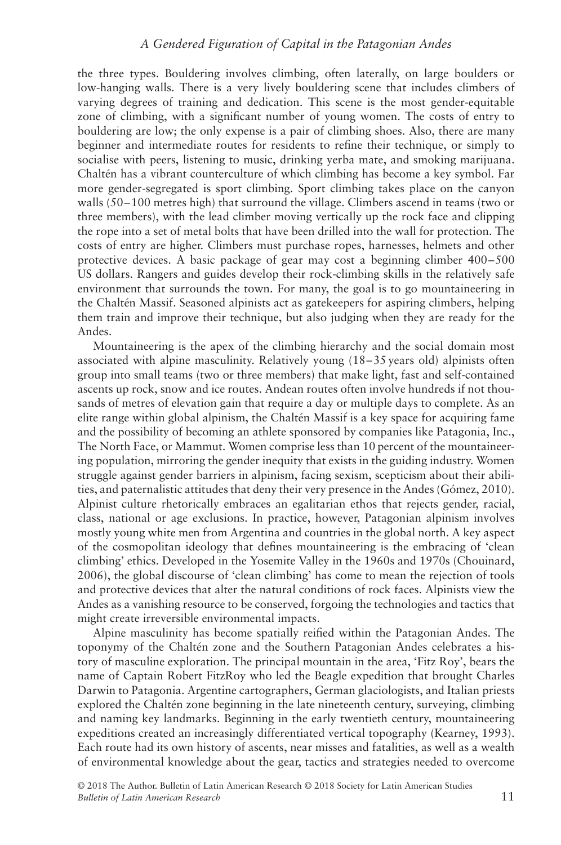the three types. Bouldering involves climbing, often laterally, on large boulders or low-hanging walls. There is a very lively bouldering scene that includes climbers of varying degrees of training and dedication. This scene is the most gender-equitable zone of climbing, with a signifcant number of young women. The costs of entry to bouldering are low; the only expense is a pair of climbing shoes. Also, there are many beginner and intermediate routes for residents to refne their technique, or simply to socialise with peers, listening to music, drinking yerba mate, and smoking marijuana. Chaltén has a vibrant counterculture of which climbing has become a key symbol. Far more gender-segregated is sport climbing. Sport climbing takes place on the canyon walls (50–100 metres high) that surround the village. Climbers ascend in teams (two or three members), with the lead climber moving vertically up the rock face and clipping the rope into a set of metal bolts that have been drilled into the wall for protection. The costs of entry are higher. Climbers must purchase ropes, harnesses, helmets and other protective devices. A basic package of gear may cost a beginning climber 400–500 US dollars. Rangers and guides develop their rock-climbing skills in the relatively safe environment that surrounds the town. For many, the goal is to go mountaineering in the Chaltén Massif. Seasoned alpinists act as gatekeepers for aspiring climbers, helping them train and improve their technique, but also judging when they are ready for the Andes.

Mountaineering is the apex of the climbing hierarchy and the social domain most associated with alpine masculinity. Relatively young (18–35 years old) alpinists often group into small teams (two or three members) that make light, fast and self-contained ascents up rock, snow and ice routes. Andean routes often involve hundreds if not thousands of metres of elevation gain that require a day or multiple days to complete. As an elite range within global alpinism, the Chaltén Massif is a key space for acquiring fame and the possibility of becoming an athlete sponsored by companies like Patagonia, Inc., The North Face, or Mammut. Women comprise less than 10 percent of the mountaineering population, mirroring the gender inequity that exists in the guiding industry. Women struggle against gender barriers in alpinism, facing sexism, scepticism about their abilities, and paternalistic attitudes that deny their very presence in the Andes (Gómez, 2010). Alpinist culture rhetorically embraces an egalitarian ethos that rejects gender, racial, class, national or age exclusions. In practice, however, Patagonian alpinism involves mostly young white men from Argentina and countries in the global north. A key aspect of the cosmopolitan ideology that defnes mountaineering is the embracing of 'clean climbing' ethics. Developed in the Yosemite Valley in the 1960s and 1970s (Chouinard, 2006), the global discourse of 'clean climbing' has come to mean the rejection of tools and protective devices that alter the natural conditions of rock faces. Alpinists view the Andes as a vanishing resource to be conserved, forgoing the technologies and tactics that might create irreversible environmental impacts.

Alpine masculinity has become spatially reifed within the Patagonian Andes. The toponymy of the Chaltén zone and the Southern Patagonian Andes celebrates a history of masculine exploration. The principal mountain in the area, 'Fitz Roy', bears the name of Captain Robert FitzRoy who led the Beagle expedition that brought Charles Darwin to Patagonia. Argentine cartographers, German glaciologists, and Italian priests explored the Chaltén zone beginning in the late nineteenth century, surveying, climbing and naming key landmarks. Beginning in the early twentieth century, mountaineering expeditions created an increasingly differentiated vertical topography (Kearney, 1993). Each route had its own history of ascents, near misses and fatalities, as well as a wealth of environmental knowledge about the gear, tactics and strategies needed to overcome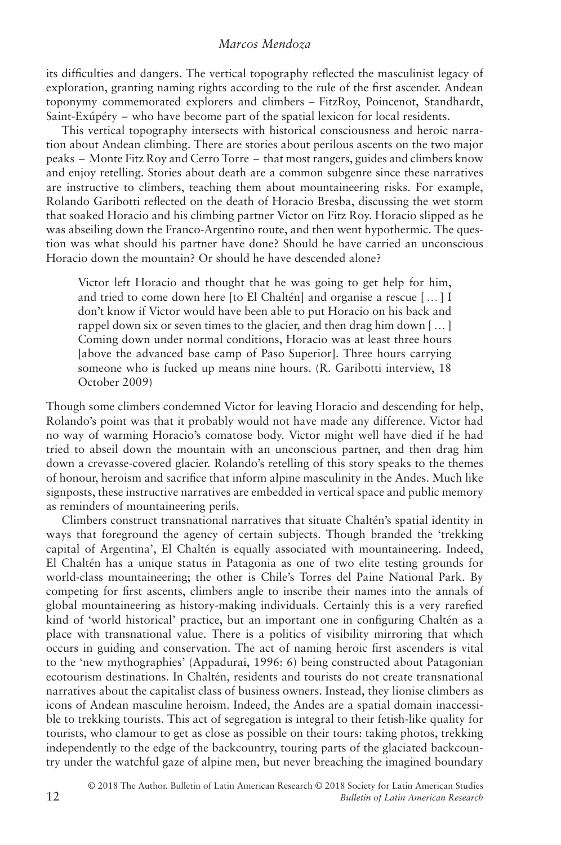its diffculties and dangers. The vertical topography refected the masculinist legacy of exploration, granting naming rights according to the rule of the frst ascender. Andean toponymy commemorated explorers and climbers – FitzRoy, Poincenot, Standhardt, Saint-Exúpéry – who have become part of the spatial lexicon for local residents.

This vertical topography intersects with historical consciousness and heroic narration about Andean climbing. There are stories about perilous ascents on the two major peaks – Monte Fitz Roy and Cerro Torre – that most rangers, guides and climbers know and enjoy retelling. Stories about death are a common subgenre since these narratives are instructive to climbers, teaching them about mountaineering risks. For example, Rolando Garibotti refected on the death of Horacio Bresba, discussing the wet storm that soaked Horacio and his climbing partner Victor on Fitz Roy. Horacio slipped as he was abseiling down the Franco-Argentino route, and then went hypothermic. The question was what should his partner have done? Should he have carried an unconscious Horacio down the mountain? Or should he have descended alone?

Victor left Horacio and thought that he was going to get help for him, and tried to come down here [to El Chaltén] and organise a rescue [ … ] I don't know if Victor would have been able to put Horacio on his back and rappel down six or seven times to the glacier, and then drag him down [ …] Coming down under normal conditions, Horacio was at least three hours [above the advanced base camp of Paso Superior]. Three hours carrying someone who is fucked up means nine hours. (R. Garibotti interview, 18 October 2009)

Though some climbers condemned Victor for leaving Horacio and descending for help, Rolando's point was that it probably would not have made any difference. Victor had no way of warming Horacio's comatose body. Victor might well have died if he had tried to abseil down the mountain with an unconscious partner, and then drag him down a crevasse-covered glacier. Rolando's retelling of this story speaks to the themes of honour, heroism and sacrifce that inform alpine masculinity in the Andes. Much like signposts, these instructive narratives are embedded in vertical space and public memory as reminders of mountaineering perils.

Climbers construct transnational narratives that situate Chaltén's spatial identity in ways that foreground the agency of certain subjects. Though branded the 'trekking capital of Argentina', El Chaltén is equally associated with mountaineering. Indeed, El Chaltén has a unique status in Patagonia as one of two elite testing grounds for world-class mountaineering; the other is Chile's Torres del Paine National Park. By competing for frst ascents, climbers angle to inscribe their names into the annals of global mountaineering as history-making individuals. Certainly this is a very rarefed kind of 'world historical' practice, but an important one in confguring Chaltén as a place with transnational value. There is a politics of visibility mirroring that which occurs in guiding and conservation. The act of naming heroic frst ascenders is vital to the 'new mythographies' (Appadurai, 1996: 6) being constructed about Patagonian ecotourism destinations. In Chaltén, residents and tourists do not create transnational narratives about the capitalist class of business owners. Instead, they lionise climbers as icons of Andean masculine heroism. Indeed, the Andes are a spatial domain inaccessible to trekking tourists. This act of segregation is integral to their fetish-like quality for tourists, who clamour to get as close as possible on their tours: taking photos, trekking independently to the edge of the backcountry, touring parts of the glaciated backcountry under the watchful gaze of alpine men, but never breaching the imagined boundary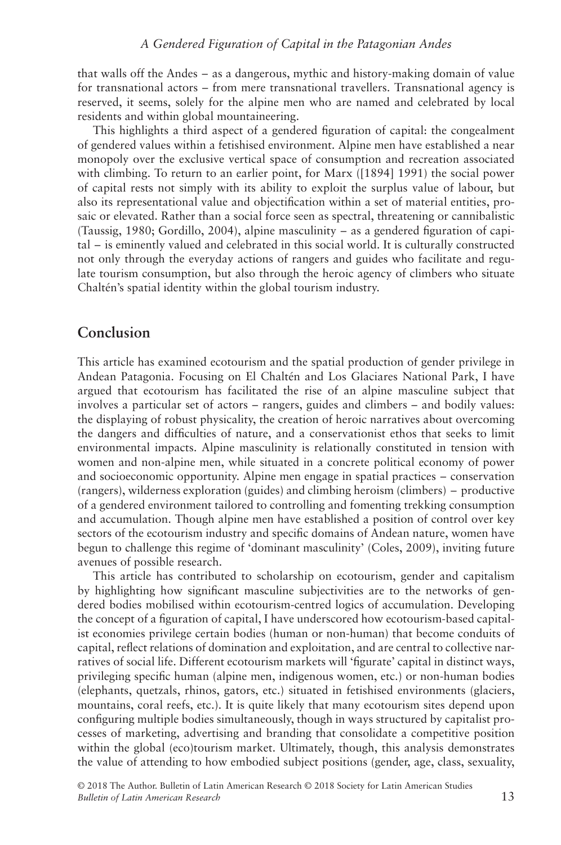that walls off the Andes – as a dangerous, mythic and history-making domain of value for transnational actors – from mere transnational travellers. Transnational agency is reserved, it seems, solely for the alpine men who are named and celebrated by local residents and within global mountaineering.

This highlights a third aspect of a gendered fguration of capital: the congealment of gendered values within a fetishised environment. Alpine men have established a near monopoly over the exclusive vertical space of consumption and recreation associated with climbing. To return to an earlier point, for Marx ([1894] 1991) the social power of capital rests not simply with its ability to exploit the surplus value of labour, but also its representational value and objectifcation within a set of material entities, prosaic or elevated. Rather than a social force seen as spectral, threatening or cannibalistic (Taussig, 1980; Gordillo, 2004), alpine masculinity – as a gendered fguration of capital – is eminently valued and celebrated in this social world. It is culturally constructed not only through the everyday actions of rangers and guides who facilitate and regulate tourism consumption, but also through the heroic agency of climbers who situate Chaltén's spatial identity within the global tourism industry.

# **Conclusion**

This article has examined ecotourism and the spatial production of gender privilege in Andean Patagonia. Focusing on El Chaltén and Los Glaciares National Park, I have argued that ecotourism has facilitated the rise of an alpine masculine subject that involves a particular set of actors – rangers, guides and climbers – and bodily values: the displaying of robust physicality, the creation of heroic narratives about overcoming the dangers and diffculties of nature, and a conservationist ethos that seeks to limit environmental impacts. Alpine masculinity is relationally constituted in tension with women and non-alpine men, while situated in a concrete political economy of power and socioeconomic opportunity. Alpine men engage in spatial practices – conservation (rangers), wilderness exploration (guides) and climbing heroism (climbers) – productive of a gendered environment tailored to controlling and fomenting trekking consumption and accumulation. Though alpine men have established a position of control over key sectors of the ecotourism industry and specifc domains of Andean nature, women have begun to challenge this regime of 'dominant masculinity' (Coles, 2009), inviting future avenues of possible research.

This article has contributed to scholarship on ecotourism, gender and capitalism by highlighting how signifcant masculine subjectivities are to the networks of gendered bodies mobilised within ecotourism-centred logics of accumulation. Developing the concept of a fguration of capital, I have underscored how ecotourism-based capitalist economies privilege certain bodies (human or non-human) that become conduits of capital, refect relations of domination and exploitation, and are central to collective narratives of social life. Different ecotourism markets will 'fgurate' capital in distinct ways, privileging specifc human (alpine men, indigenous women, etc.) or non-human bodies (elephants, quetzals, rhinos, gators, etc.) situated in fetishised environments (glaciers, mountains, coral reefs, etc.). It is quite likely that many ecotourism sites depend upon confguring multiple bodies simultaneously, though in ways structured by capitalist processes of marketing, advertising and branding that consolidate a competitive position within the global (eco)tourism market. Ultimately, though, this analysis demonstrates the value of attending to how embodied subject positions (gender, age, class, sexuality,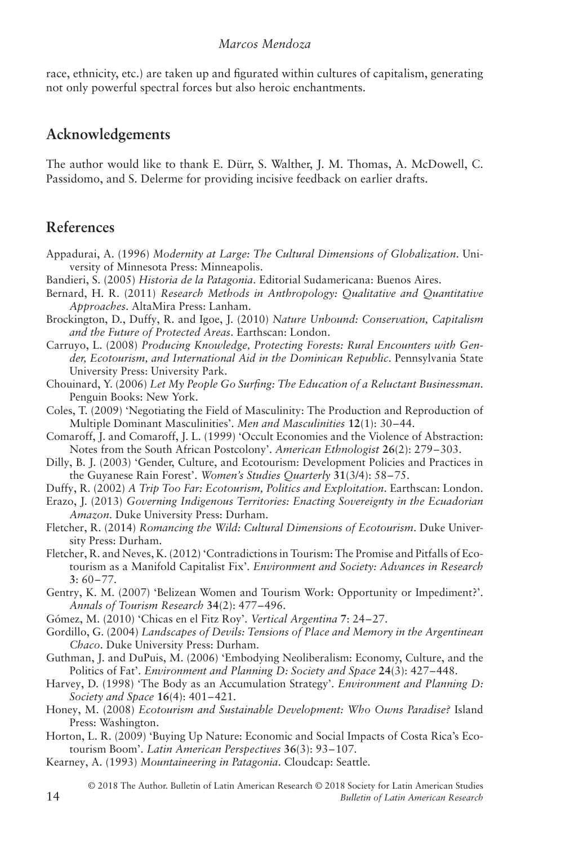race, ethnicity, etc.) are taken up and fgurated within cultures of capitalism, generating not only powerful spectral forces but also heroic enchantments.

## **Acknowledgements**

The author would like to thank E. Dürr, S. Walther, J. M. Thomas, A. McDowell, C. Passidomo, and S. Delerme for providing incisive feedback on earlier drafts.

# **References**

- Appadurai, A. (1996) *Modernity at Large: The Cultural Dimensions of Globalization*. University of Minnesota Press: Minneapolis.
- Bandieri, S. (2005) *Historia de la Patagonia*. Editorial Sudamericana: Buenos Aires.
- Bernard, H. R. (2011) *Research Methods in Anthropology: Qualitative and Quantitative Approaches*. AltaMira Press: Lanham.
- Brockington, D., Duffy, R. and Igoe, J. (2010) *Nature Unbound: Conservation, Capitalism and the Future of Protected Areas*. Earthscan: London.
- Carruyo, L. (2008) *Producing Knowledge, Protecting Forests: Rural Encounters with Gender, Ecotourism, and International Aid in the Dominican Republic*. Pennsylvania State University Press: University Park.
- Chouinard, Y. (2006) *Let My People Go Surfng: The Education of a Reluctant Businessman*. Penguin Books: New York.
- Coles, T. (2009) 'Negotiating the Field of Masculinity: The Production and Reproduction of Multiple Dominant Masculinities'. *Men and Masculinities* **12**(1): 30–44.
- Comaroff, J. and Comaroff, J. L. (1999) 'Occult Economies and the Violence of Abstraction: Notes from the South African Postcolony'. *American Ethnologist* **26**(2): 279–303.
- Dilly, B. J. (2003) 'Gender, Culture, and Ecotourism: Development Policies and Practices in the Guyanese Rain Forest'. *Women's Studies Quarterly* **31**(3/4): 58–75.
- Duffy, R. (2002) *A Trip Too Far: Ecotourism, Politics and Exploitation*. Earthscan: London.
- Erazo, J. (2013) *Governing Indigenous Territories: Enacting Sovereignty in the Ecuadorian Amazon*. Duke University Press: Durham.
- Fletcher, R. (2014) *Romancing the Wild: Cultural Dimensions of Ecotourism*. Duke University Press: Durham.
- Fletcher, R. and Neves, K. (2012) 'Contradictions in Tourism: The Promise and Pitfalls of Ecotourism as a Manifold Capitalist Fix'. *Environment and Society: Advances in Research* **3**: 60–77.
- Gentry, K. M. (2007) 'Belizean Women and Tourism Work: Opportunity or Impediment?'. *Annals of Tourism Research* **34**(2): 477–496.
- Gómez, M. (2010) 'Chicas en el Fitz Roy'. *Vertical Argentina* **7**: 24–27.
- Gordillo, G. (2004) *Landscapes of Devils: Tensions of Place and Memory in the Argentinean Chaco*. Duke University Press: Durham.
- Guthman, J. and DuPuis, M. (2006) 'Embodying Neoliberalism: Economy, Culture, and the Politics of Fat'. *Environment and Planning D: Society and Space* **24**(3): 427–448.
- Harvey, D. (1998) 'The Body as an Accumulation Strategy'. *Environment and Planning D: Society and Space* **16**(4): 401–421.
- Honey, M. (2008) *Ecotourism and Sustainable Development: Who Owns Paradise?* Island Press: Washington.
- Horton, L. R. (2009) 'Buying Up Nature: Economic and Social Impacts of Costa Rica's Ecotourism Boom'. *Latin American Perspectives* **36**(3): 93–107.
- Kearney, A. (1993) *Mountaineering in Patagonia*. Cloudcap: Seattle.